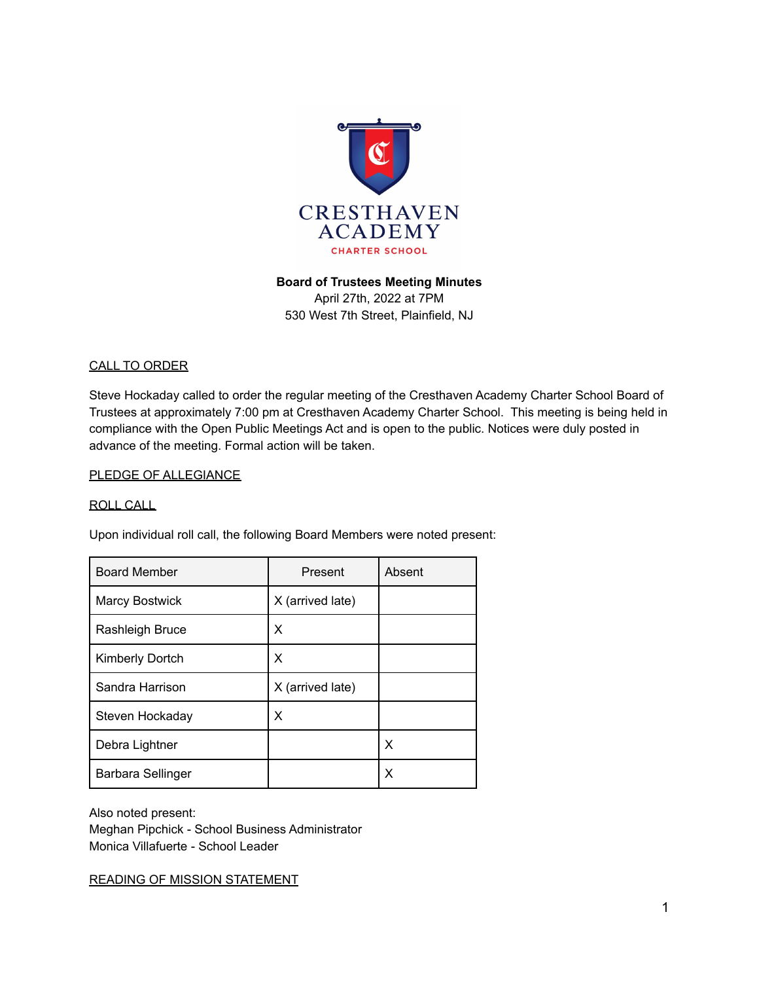

#### **Board of Trustees Meeting Minutes**

April 27th, 2022 at 7PM 530 West 7th Street, Plainfield, NJ

#### CALL TO ORDER

Steve Hockaday called to order the regular meeting of the Cresthaven Academy Charter School Board of Trustees at approximately 7:00 pm at Cresthaven Academy Charter School. This meeting is being held in compliance with the Open Public Meetings Act and is open to the public. Notices were duly posted in advance of the meeting. Formal action will be taken.

#### PLEDGE OF ALLEGIANCE

#### ROLL CALL

Upon individual roll call, the following Board Members were noted present:

| <b>Board Member</b>   | Present          | Absent |
|-----------------------|------------------|--------|
| <b>Marcy Bostwick</b> | X (arrived late) |        |
| Rashleigh Bruce       | Х                |        |
| Kimberly Dortch       | х                |        |
| Sandra Harrison       | X (arrived late) |        |
| Steven Hockaday       | х                |        |
| Debra Lightner        |                  | X      |
| Barbara Sellinger     |                  | X      |

Also noted present: Meghan Pipchick - School Business Administrator Monica Villafuerte - School Leader

READING OF MISSION STATEMENT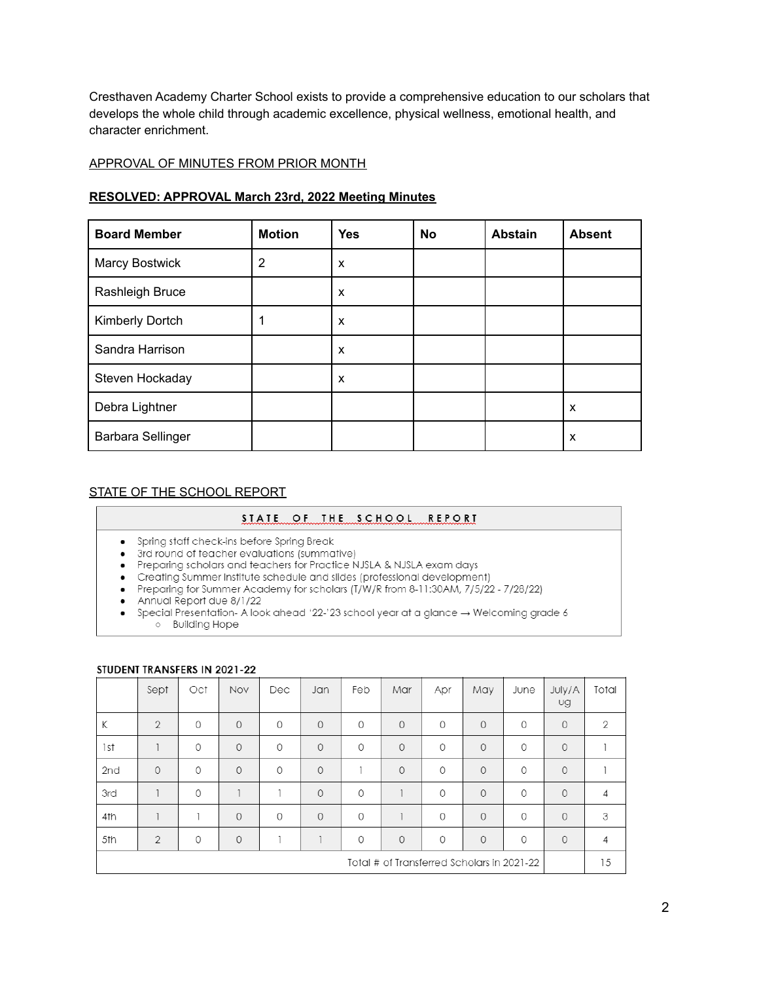Cresthaven Academy Charter School exists to provide a comprehensive education to our scholars that develops the whole child through academic excellence, physical wellness, emotional health, and character enrichment.

#### APPROVAL OF MINUTES FROM PRIOR MONTH

#### **RESOLVED: APPROVAL March 23rd, 2022 Meeting Minutes**

| <b>Board Member</b> | <b>Motion</b>  | <b>Yes</b> | No | <b>Abstain</b> | <b>Absent</b> |
|---------------------|----------------|------------|----|----------------|---------------|
| Marcy Bostwick      | $\overline{2}$ | X          |    |                |               |
| Rashleigh Bruce     |                | X          |    |                |               |
| Kimberly Dortch     | 4              | X          |    |                |               |
| Sandra Harrison     |                | X          |    |                |               |
| Steven Hockaday     |                | X          |    |                |               |
| Debra Lightner      |                |            |    |                | X             |
| Barbara Sellinger   |                |            |    |                | x             |

#### STATE OF THE SCHOOL REPORT

#### STATE OF THE SCHOOL REPORT

- Spring staff check-ins before Spring Break
- 
- 3rd round of teacher evaluations (summative)<br>• Preparing scholars and teachers for Practice NJSLA & NJSLA exam days
- 
- Creating Summer Institute schedule and slides (professional development)<br>• Preparing for Summer Academy for scholars (T/W/R from 8-11:30AM, 7/5/22 7/28/22)<br>• Annual Report due 8/1/22
- 
- Special Presentation- A look ahead '22-'23 school year at a glance  $\rightarrow$  Welcoming grade 6 o Building Hope

#### STUDENT TRANSFERS IN 2021-22

|                                            | Sept           | Oct            | Nov     | Dec     | Jan      | Feb     | Mar      | Apr     | May          | June    | July/A<br>Ug | Total |
|--------------------------------------------|----------------|----------------|---------|---------|----------|---------|----------|---------|--------------|---------|--------------|-------|
| К                                          | $\overline{2}$ | 0              | $\circ$ | $\circ$ | $\Omega$ | $\circ$ | $\Omega$ | $\circ$ | $\Omega$     | $\circ$ | $\circ$      | 2     |
| 1st                                        |                | 0              | $\circ$ | 0       | $\circ$  | 0       | $\circ$  | 0       | $\mathbf{0}$ | $\circ$ | $\circ$      |       |
| 2nd                                        | $\Omega$       | 0              | $\circ$ | 0       | $\circ$  |         | $\circ$  | $\circ$ | $\Omega$     | $\circ$ | $\circ$      |       |
| 3rd                                        |                | 0              |         |         | $\circ$  | 0       |          | 0       | $\Omega$     | $\circ$ | $\circ$      | 4     |
| 4th                                        |                | $\overline{1}$ | $\circ$ | $\circ$ | $\Omega$ | $\circ$ |          | $\circ$ | $\Omega$     | $\circ$ | $\circ$      | 3     |
| 5th                                        | $\overline{2}$ | 0              | $\circ$ |         |          | 0       | $\circ$  | 0       | $\mathbf{0}$ | 0       | $\circ$      | 4     |
| Total # of Transferred Scholars in 2021-22 |                |                |         |         |          |         |          |         | 15           |         |              |       |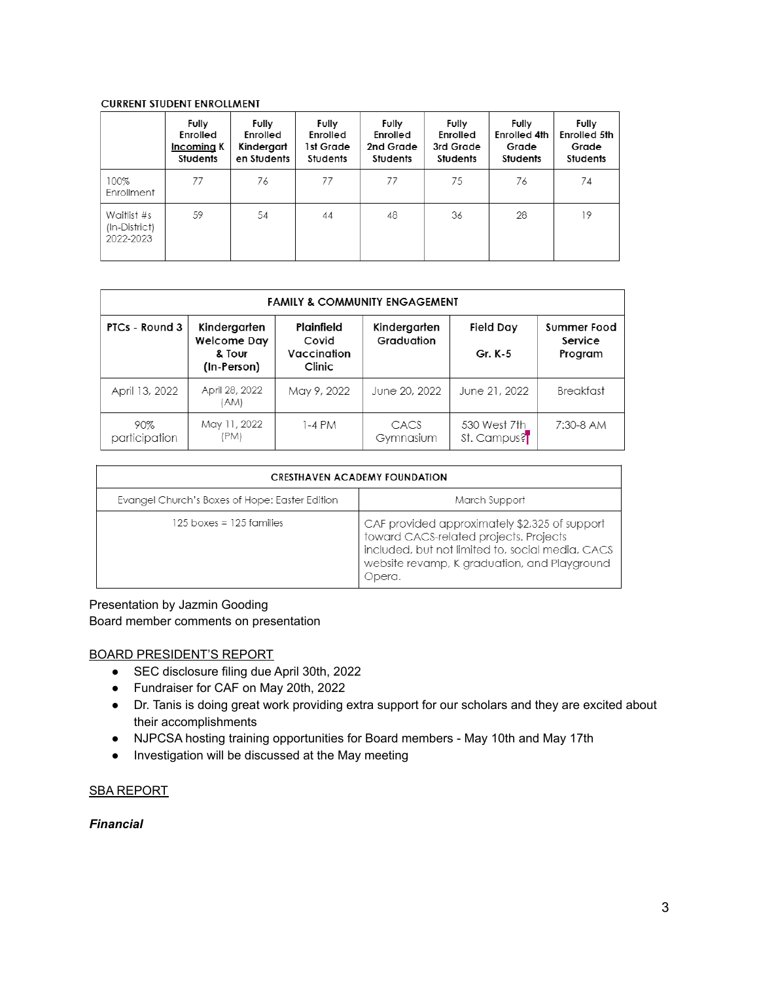#### **CURRENT STUDENT ENROLLMENT**

|                                           | Fully<br>Enrolled<br>Incoming K<br>Students | Fully<br>Enrolled<br>Kindergart<br>en Students | Fully<br>Enrolled<br>1st Grade<br>Students | Fully<br>Enrolled<br>2nd Grade<br>Students | Fully<br>Enrolled<br>3rd Grade<br>Students | Fully<br><b>Enrolled 4th</b><br>Grade<br>Students | Fully<br><b>Enrolled 5th</b><br>Grade<br>Students |
|-------------------------------------------|---------------------------------------------|------------------------------------------------|--------------------------------------------|--------------------------------------------|--------------------------------------------|---------------------------------------------------|---------------------------------------------------|
| 100%<br>Enrollment                        | 77                                          | 76                                             | 77                                         | 77                                         | 75                                         | 76                                                | 74                                                |
| Waitlist #s<br>(In-District)<br>2022-2023 | 59                                          | 54                                             | 44                                         | 48                                         | 36                                         | 28                                                | 19                                                |

| <b>FAMILY &amp; COMMUNITY ENGAGEMENT</b> |                                                      |                                              |                            |                             |                                   |  |  |  |
|------------------------------------------|------------------------------------------------------|----------------------------------------------|----------------------------|-----------------------------|-----------------------------------|--|--|--|
| PTCs - Round 3                           | Kindergarten<br>Welcome Day<br>& Tour<br>(In-Person) | Plainfield<br>Covid<br>Vaccination<br>Clinic | Kindergarten<br>Graduation | Field Day<br>Gr. K-5        | Summer Food<br>Service<br>Program |  |  |  |
| April 13, 2022                           | April 28, 2022<br>(AM)                               | May 9, 2022                                  | June 20, 2022              | June 21, 2022               | Breakfast                         |  |  |  |
| 90%<br>participation                     | May 11, 2022<br>(PM)                                 | 1-4 PM                                       | CACS<br>Gymnasium          | 530 West 7th<br>St. Campus? | 7:30-8 AM                         |  |  |  |

| <b>CRESTHAVEN ACADEMY FOUNDATION</b>           |                                                                                                                                                                                                       |  |  |  |  |
|------------------------------------------------|-------------------------------------------------------------------------------------------------------------------------------------------------------------------------------------------------------|--|--|--|--|
| Evangel Church's Boxes of Hope: Easter Edition | March Support                                                                                                                                                                                         |  |  |  |  |
| $125$ boxes = $125$ families                   | CAF provided approximately \$2,325 of support<br>toward CACS-related projects. Projects<br>included, but not limited to, social media, CACS<br>website revamp, K graduation, and Playground<br>Dpera. |  |  |  |  |

### Presentation by Jazmin Gooding Board member comments on presentation

#### BOARD PRESIDENT'S REPORT

- SEC disclosure filing due April 30th, 2022
- Fundraiser for CAF on May 20th, 2022
- Dr. Tanis is doing great work providing extra support for our scholars and they are excited about their accomplishments
- NJPCSA hosting training opportunities for Board members May 10th and May 17th
- Investigation will be discussed at the May meeting

#### SBA REPORT

#### *Financial*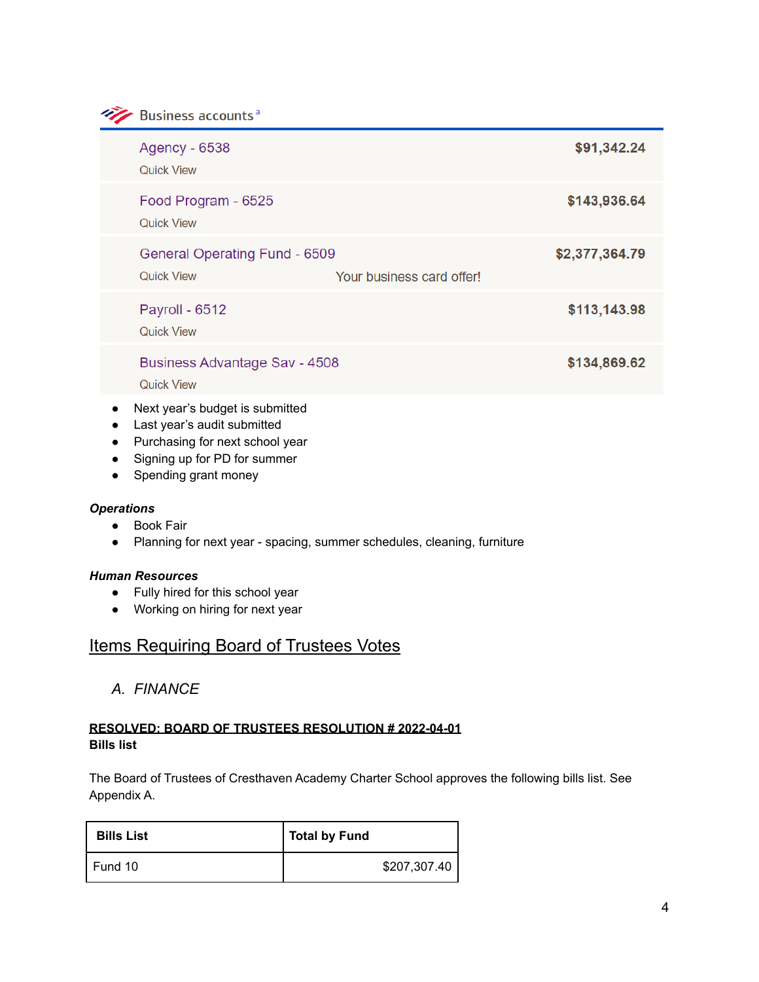Business accounts<sup>a</sup>

|                        | <b>Agency - 6538</b><br><b>Quick View</b>                      |                           | \$91,342.24    |
|------------------------|----------------------------------------------------------------|---------------------------|----------------|
|                        | Food Program - 6525<br><b>Quick View</b>                       |                           | \$143,936.64   |
|                        | <b>General Operating Fund - 6509</b><br><b>Quick View</b>      | Your business card offer! | \$2,377,364.79 |
|                        | Payroll - 6512<br><b>Quick View</b>                            |                           | \$113,143.98   |
|                        | <b>Business Advantage Sav - 4508</b><br><b>Quick View</b>      |                           | \$134,869.62   |
| $\bullet$<br>$\bullet$ | Next year's budget is submitted<br>Last year's audit submitted |                           |                |

- Purchasing for next school year
- Signing up for PD for summer
- Spending grant money

#### *Operations*

- Book Fair
- Planning for next year spacing, summer schedules, cleaning, furniture

#### *Human Resources*

- Fully hired for this school year
- Working on hiring for next year

# **Items Requiring Board of Trustees Votes**

*A. FINANCE*

# **RESOLVED: BOARD OF TRUSTEES RESOLUTION # 2022-04-01 Bills list**

The Board of Trustees of Cresthaven Academy Charter School approves the following bills list. See Appendix A.

| <b>Bills List</b> | <b>Total by Fund</b> |
|-------------------|----------------------|
| Fund 10           | \$207,307.40         |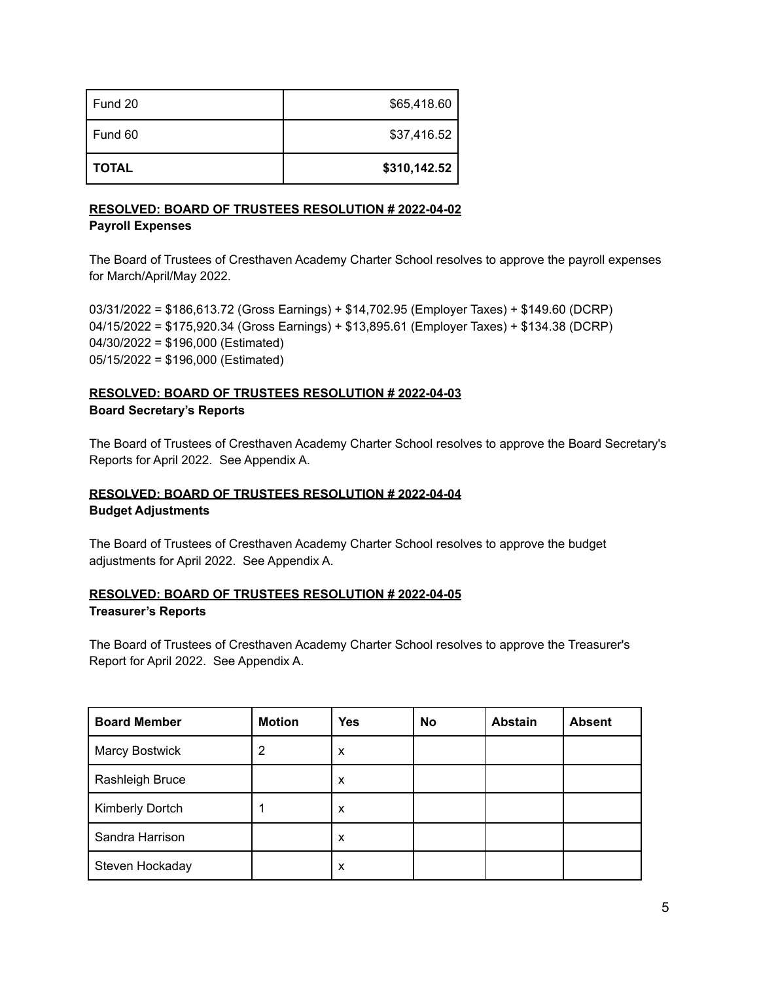| Fund 20      | \$65,418.60  |
|--------------|--------------|
| Fund 60      | \$37,416.52  |
| <b>TOTAL</b> | \$310,142.52 |

# **RESOLVED: BOARD OF TRUSTEES RESOLUTION # 2022-04-02 Payroll Expenses**

The Board of Trustees of Cresthaven Academy Charter School resolves to approve the payroll expenses for March/April/May 2022.

03/31/2022 = \$186,613.72 (Gross Earnings) + \$14,702.95 (Employer Taxes) + \$149.60 (DCRP) 04/15/2022 = \$175,920.34 (Gross Earnings) + \$13,895.61 (Employer Taxes) + \$134.38 (DCRP) 04/30/2022 = \$196,000 (Estimated) 05/15/2022 = \$196,000 (Estimated)

# **RESOLVED: BOARD OF TRUSTEES RESOLUTION # 2022-04-03 Board Secretary's Reports**

The Board of Trustees of Cresthaven Academy Charter School resolves to approve the Board Secretary's Reports for April 2022. See Appendix A.

# **RESOLVED: BOARD OF TRUSTEES RESOLUTION # 2022-04-04 Budget Adjustments**

The Board of Trustees of Cresthaven Academy Charter School resolves to approve the budget adjustments for April 2022. See Appendix A.

# **RESOLVED: BOARD OF TRUSTEES RESOLUTION # 2022-04-05 Treasurer's Reports**

The Board of Trustees of Cresthaven Academy Charter School resolves to approve the Treasurer's Report for April 2022. See Appendix A.

| <b>Board Member</b>   | <b>Motion</b> | <b>Yes</b> | <b>No</b> | <b>Abstain</b> | <b>Absent</b> |
|-----------------------|---------------|------------|-----------|----------------|---------------|
| <b>Marcy Bostwick</b> |               | X          |           |                |               |
| Rashleigh Bruce       |               | X          |           |                |               |
| Kimberly Dortch       |               | X          |           |                |               |
| Sandra Harrison       |               | X          |           |                |               |
| Steven Hockaday       |               | X          |           |                |               |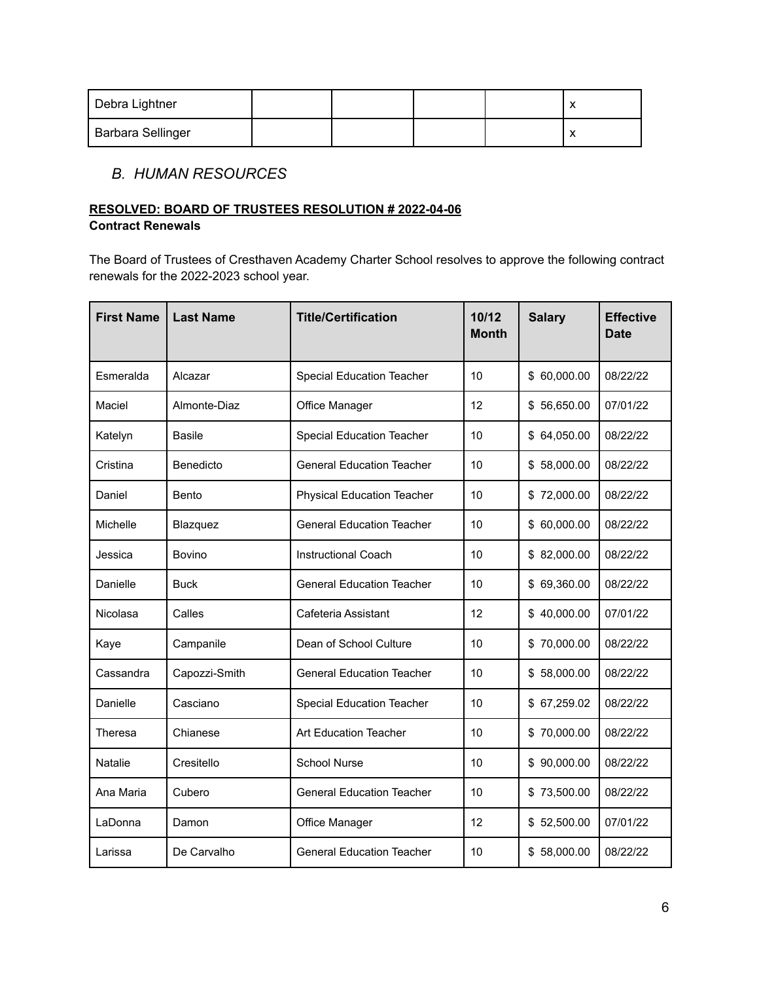| Debra Lightner    |  |  |  |
|-------------------|--|--|--|
| Barbara Sellinger |  |  |  |

# *B. HUMAN RESOURCES*

## **RESOLVED: BOARD OF TRUSTEES RESOLUTION # 2022-04-06 Contract Renewals**

The Board of Trustees of Cresthaven Academy Charter School resolves to approve the following contract renewals for the 2022-2023 school year.

| <b>First Name</b> | <b>Last Name</b> | <b>Title/Certification</b>        | 10/12<br><b>Month</b> | <b>Salary</b> | <b>Effective</b><br><b>Date</b> |
|-------------------|------------------|-----------------------------------|-----------------------|---------------|---------------------------------|
| Esmeralda         | Alcazar          | <b>Special Education Teacher</b>  | 10                    | \$60,000.00   | 08/22/22                        |
| Maciel            | Almonte-Diaz     | Office Manager                    | 12                    | \$56,650.00   | 07/01/22                        |
| Katelyn           | <b>Basile</b>    | <b>Special Education Teacher</b>  | 10                    | \$64,050.00   | 08/22/22                        |
| Cristina          | Benedicto        | <b>General Education Teacher</b>  | 10                    | \$58,000.00   | 08/22/22                        |
| Daniel            | Bento            | <b>Physical Education Teacher</b> | 10                    | \$72,000.00   | 08/22/22                        |
| Michelle          | Blazquez         | <b>General Education Teacher</b>  | 10                    | \$60,000.00   | 08/22/22                        |
| Jessica           | <b>Bovino</b>    | <b>Instructional Coach</b>        | 10                    | \$82,000.00   | 08/22/22                        |
| Danielle          | <b>Buck</b>      | <b>General Education Teacher</b>  | 10                    | \$69,360.00   | 08/22/22                        |
| Nicolasa          | Calles           | Cafeteria Assistant               | 12                    | \$40,000.00   | 07/01/22                        |
| Kaye              | Campanile        | Dean of School Culture            | 10                    | \$70,000.00   | 08/22/22                        |
| Cassandra         | Capozzi-Smith    | <b>General Education Teacher</b>  | 10                    | \$58,000.00   | 08/22/22                        |
| Danielle          | Casciano         | Special Education Teacher         | 10                    | \$67,259.02   | 08/22/22                        |
| Theresa           | Chianese         | Art Education Teacher             | 10                    | \$70,000.00   | 08/22/22                        |
| Natalie           | Cresitello       | <b>School Nurse</b>               | 10                    | \$90,000.00   | 08/22/22                        |
| Ana Maria         | Cubero           | <b>General Education Teacher</b>  | 10                    | \$73,500.00   | 08/22/22                        |
| LaDonna           | Damon            | Office Manager                    | 12                    | \$52,500.00   | 07/01/22                        |
| Larissa           | De Carvalho      | <b>General Education Teacher</b>  | 10                    | \$58,000.00   | 08/22/22                        |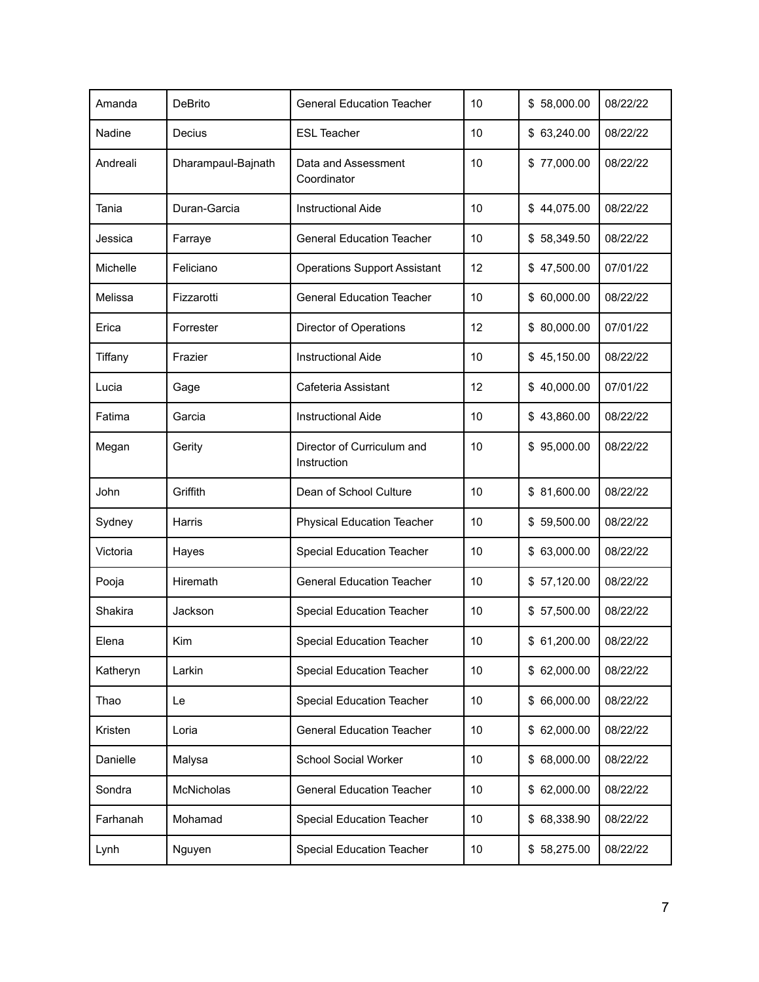| Amanda   | <b>DeBrito</b>     | <b>General Education Teacher</b>          | 10 | \$58,000.00 | 08/22/22 |
|----------|--------------------|-------------------------------------------|----|-------------|----------|
| Nadine   | Decius             | <b>ESL Teacher</b>                        | 10 | \$63,240.00 | 08/22/22 |
| Andreali | Dharampaul-Bajnath | Data and Assessment<br>Coordinator        | 10 | \$77,000.00 | 08/22/22 |
| Tania    | Duran-Garcia       | <b>Instructional Aide</b>                 | 10 | \$44,075.00 | 08/22/22 |
| Jessica  | Farraye            | <b>General Education Teacher</b>          | 10 | \$58,349.50 | 08/22/22 |
| Michelle | Feliciano          | <b>Operations Support Assistant</b>       | 12 | \$47,500.00 | 07/01/22 |
| Melissa  | Fizzarotti         | <b>General Education Teacher</b>          | 10 | \$60,000.00 | 08/22/22 |
| Erica    | Forrester          | Director of Operations                    | 12 | \$80,000.00 | 07/01/22 |
| Tiffany  | Frazier            | <b>Instructional Aide</b>                 | 10 | \$45,150.00 | 08/22/22 |
| Lucia    | Gage               | Cafeteria Assistant                       | 12 | \$40,000.00 | 07/01/22 |
| Fatima   | Garcia             | <b>Instructional Aide</b>                 | 10 | \$43,860.00 | 08/22/22 |
| Megan    | Gerity             | Director of Curriculum and<br>Instruction | 10 | \$95,000.00 | 08/22/22 |
| John     | Griffith           | Dean of School Culture                    | 10 | \$81,600.00 | 08/22/22 |
| Sydney   | Harris             | <b>Physical Education Teacher</b>         | 10 | \$59,500.00 | 08/22/22 |
| Victoria | Hayes              | <b>Special Education Teacher</b>          | 10 | \$63,000.00 | 08/22/22 |
| Pooja    | Hiremath           | <b>General Education Teacher</b>          | 10 | \$57,120.00 | 08/22/22 |
| Shakira  | Jackson            | <b>Special Education Teacher</b>          | 10 | \$57,500.00 | 08/22/22 |
| Elena    | Kim                | Special Education Teacher                 | 10 | \$61,200.00 | 08/22/22 |
| Katheryn | Larkin             | Special Education Teacher                 | 10 | \$62,000.00 | 08/22/22 |
| Thao     | Le                 | Special Education Teacher                 | 10 | \$66,000.00 | 08/22/22 |
| Kristen  | Loria              | <b>General Education Teacher</b>          | 10 | \$62,000.00 | 08/22/22 |
| Danielle | Malysa             | School Social Worker                      | 10 | \$68,000.00 | 08/22/22 |
| Sondra   | McNicholas         | <b>General Education Teacher</b>          | 10 | \$62,000.00 | 08/22/22 |
| Farhanah | Mohamad            | Special Education Teacher                 | 10 | \$68,338.90 | 08/22/22 |
| Lynh     | Nguyen             | Special Education Teacher                 | 10 | \$58,275.00 | 08/22/22 |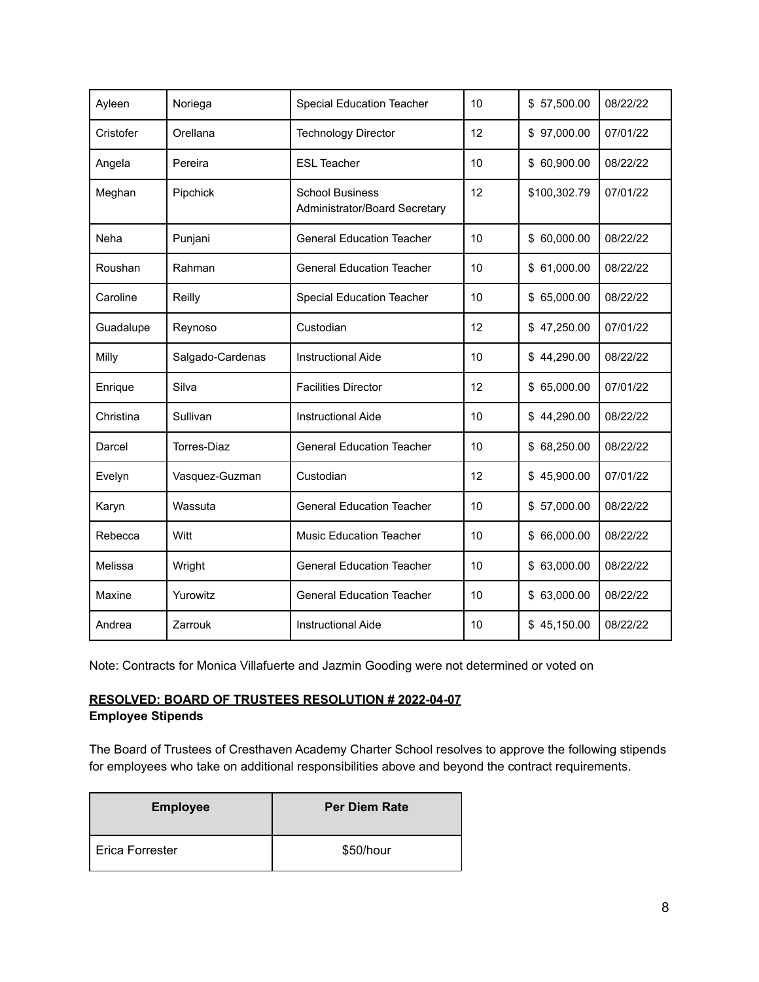| Ayleen    | Noriega            | <b>Special Education Teacher</b>                        | 10 | \$57,500.00  | 08/22/22 |
|-----------|--------------------|---------------------------------------------------------|----|--------------|----------|
| Cristofer | Orellana           | <b>Technology Director</b>                              | 12 | \$97,000.00  | 07/01/22 |
| Angela    | Pereira            | <b>ESL Teacher</b>                                      | 10 | \$ 60,900.00 | 08/22/22 |
| Meghan    | Pipchick           | <b>School Business</b><br>Administrator/Board Secretary | 12 | \$100,302.79 | 07/01/22 |
| Neha      | Punjani            | <b>General Education Teacher</b>                        | 10 | \$60,000.00  | 08/22/22 |
| Roushan   | Rahman             | <b>General Education Teacher</b>                        | 10 | \$61,000.00  | 08/22/22 |
| Caroline  | Reilly             | <b>Special Education Teacher</b>                        | 10 | \$65,000.00  | 08/22/22 |
| Guadalupe | Reynoso            | Custodian                                               | 12 | \$47,250.00  | 07/01/22 |
| Milly     | Salgado-Cardenas   | <b>Instructional Aide</b>                               | 10 | \$44,290.00  | 08/22/22 |
| Enrique   | Silva              | <b>Facilities Director</b>                              | 12 | \$65,000.00  | 07/01/22 |
| Christina | Sullivan           | <b>Instructional Aide</b>                               | 10 | \$44,290.00  | 08/22/22 |
| Darcel    | <b>Torres-Diaz</b> | <b>General Education Teacher</b>                        | 10 | \$68,250.00  | 08/22/22 |
| Evelyn    | Vasquez-Guzman     | Custodian                                               | 12 | \$45,900.00  | 07/01/22 |
| Karyn     | Wassuta            | <b>General Education Teacher</b>                        | 10 | \$57,000.00  | 08/22/22 |
| Rebecca   | Witt               | <b>Music Education Teacher</b>                          | 10 | \$66,000.00  | 08/22/22 |
| Melissa   | Wright             | <b>General Education Teacher</b>                        | 10 | \$63,000.00  | 08/22/22 |
| Maxine    | Yurowitz           | <b>General Education Teacher</b>                        | 10 | \$63,000.00  | 08/22/22 |
| Andrea    | Zarrouk            | <b>Instructional Aide</b>                               | 10 | \$45,150.00  | 08/22/22 |

Note: Contracts for Monica Villafuerte and Jazmin Gooding were not determined or voted on

#### **RESOLVED: BOARD OF TRUSTEES RESOLUTION # 2022-04-07 Employee Stipends**

The Board of Trustees of Cresthaven Academy Charter School resolves to approve the following stipends for employees who take on additional responsibilities above and beyond the contract requirements.

| <b>Employee</b> | <b>Per Diem Rate</b> |
|-----------------|----------------------|
| Erica Forrester | \$50/hour            |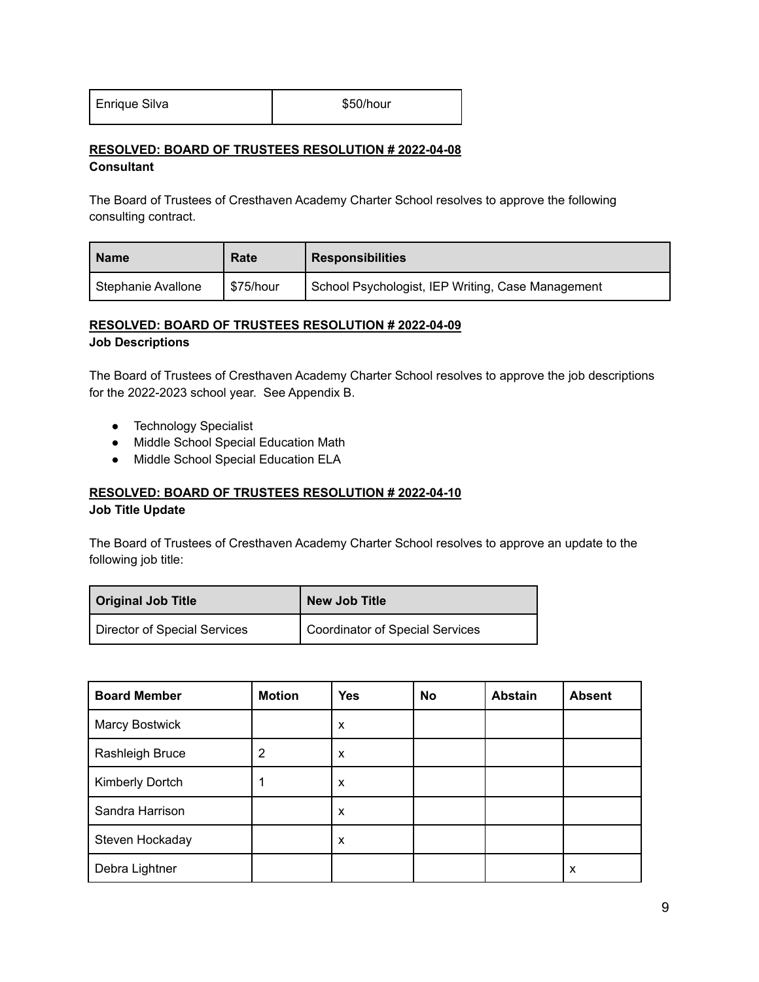| Enrique Silva |
|---------------|
|---------------|

\$50/hour

#### **RESOLVED: BOARD OF TRUSTEES RESOLUTION # 2022-04-08 Consultant**

The Board of Trustees of Cresthaven Academy Charter School resolves to approve the following consulting contract.

| <b>Name</b>        | Rate      | <b>Responsibilities</b>                           |
|--------------------|-----------|---------------------------------------------------|
| Stephanie Avallone | \$75/hour | School Psychologist, IEP Writing, Case Management |

#### **RESOLVED: BOARD OF TRUSTEES RESOLUTION # 2022-04-09 Job Descriptions**

The Board of Trustees of Cresthaven Academy Charter School resolves to approve the job descriptions for the 2022-2023 school year. See Appendix B.

- Technology Specialist
- Middle School Special Education Math
- Middle School Special Education ELA

#### **RESOLVED: BOARD OF TRUSTEES RESOLUTION # 2022-04-10 Job Title Update**

The Board of Trustees of Cresthaven Academy Charter School resolves to approve an update to the following job title:

| <b>Original Job Title</b>    | <b>New Job Title</b>            |
|------------------------------|---------------------------------|
| Director of Special Services | Coordinator of Special Services |

| <b>Board Member</b>   | <b>Motion</b> | <b>Yes</b> | <b>No</b> | <b>Abstain</b> | <b>Absent</b> |
|-----------------------|---------------|------------|-----------|----------------|---------------|
| <b>Marcy Bostwick</b> |               | X          |           |                |               |
| Rashleigh Bruce       | 2             | X          |           |                |               |
| Kimberly Dortch       |               | X          |           |                |               |
| Sandra Harrison       |               | X          |           |                |               |
| Steven Hockaday       |               | X          |           |                |               |
| Debra Lightner        |               |            |           |                | X             |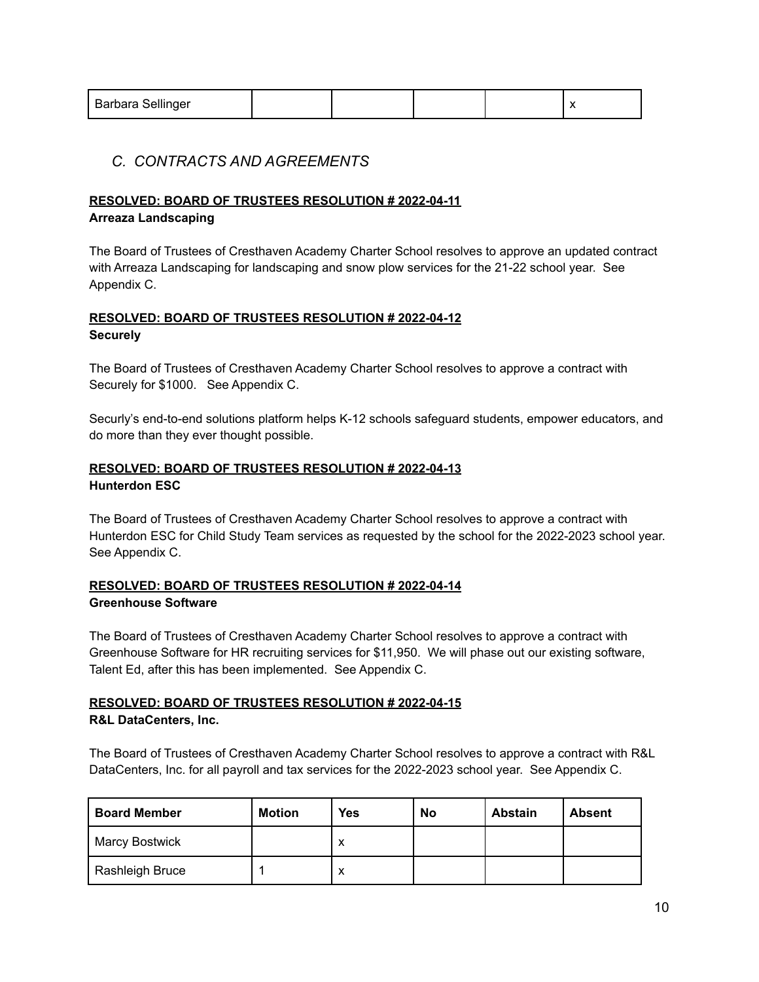| Barbara Sellinger |  |  |  |  |  |
|-------------------|--|--|--|--|--|
|-------------------|--|--|--|--|--|

# *C. CONTRACTS AND AGREEMENTS*

# **RESOLVED: BOARD OF TRUSTEES RESOLUTION # 2022-04-11**

# **Arreaza Landscaping**

The Board of Trustees of Cresthaven Academy Charter School resolves to approve an updated contract with Arreaza Landscaping for landscaping and snow plow services for the 21-22 school year. See Appendix C.

# **RESOLVED: BOARD OF TRUSTEES RESOLUTION # 2022-04-12 Securely**

The Board of Trustees of Cresthaven Academy Charter School resolves to approve a contract with Securely for \$1000. See Appendix C.

Securly's end-to-end solutions platform helps K-12 schools safeguard students, empower educators, and do more than they ever thought possible.

# **RESOLVED: BOARD OF TRUSTEES RESOLUTION # 2022-04-13 Hunterdon ESC**

The Board of Trustees of Cresthaven Academy Charter School resolves to approve a contract with Hunterdon ESC for Child Study Team services as requested by the school for the 2022-2023 school year. See Appendix C.

# **RESOLVED: BOARD OF TRUSTEES RESOLUTION # 2022-04-14 Greenhouse Software**

The Board of Trustees of Cresthaven Academy Charter School resolves to approve a contract with Greenhouse Software for HR recruiting services for \$11,950. We will phase out our existing software, Talent Ed, after this has been implemented. See Appendix C.

#### **RESOLVED: BOARD OF TRUSTEES RESOLUTION # 2022-04-15 R&L DataCenters, Inc.**

The Board of Trustees of Cresthaven Academy Charter School resolves to approve a contract with R&L DataCenters, Inc. for all payroll and tax services for the 2022-2023 school year. See Appendix C.

| <b>Board Member</b> | <b>Motion</b> | <b>Yes</b> | No | <b>Abstain</b> | <b>Absent</b> |
|---------------------|---------------|------------|----|----------------|---------------|
| Marcy Bostwick      |               | v<br>́     |    |                |               |
| Rashleigh Bruce     |               | х          |    |                |               |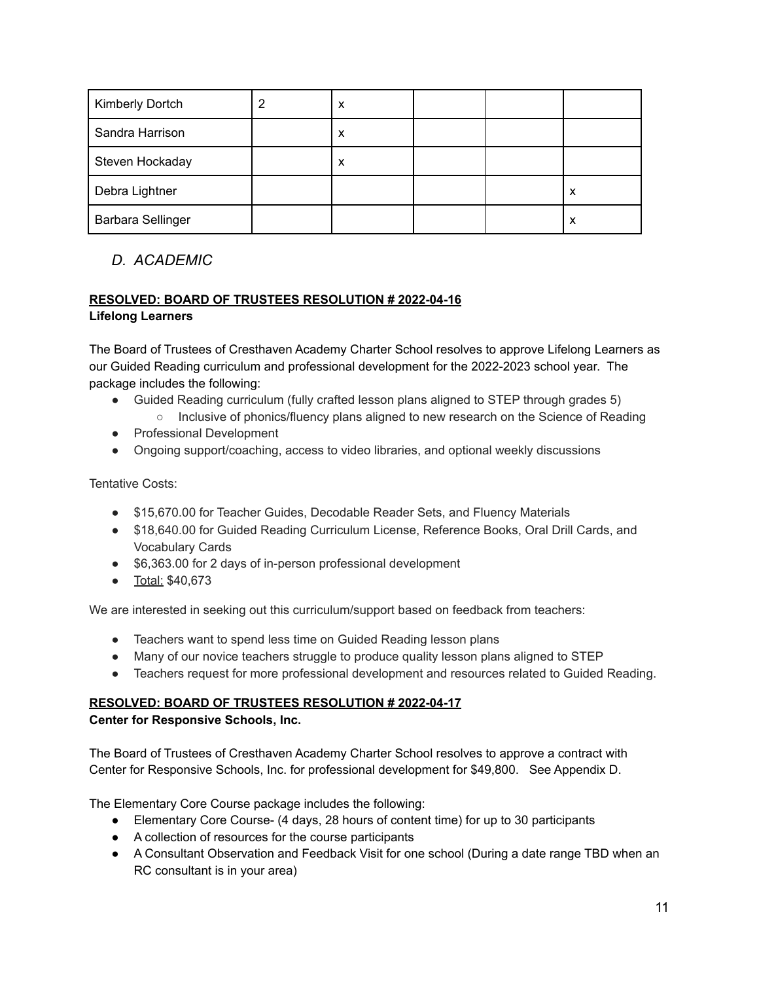| <b>Kimberly Dortch</b>   | X |  |   |
|--------------------------|---|--|---|
| Sandra Harrison          | X |  |   |
| Steven Hockaday          | х |  |   |
| Debra Lightner           |   |  | х |
| <b>Barbara Sellinger</b> |   |  | x |

# *D. ACADEMIC*

# **RESOLVED: BOARD OF TRUSTEES RESOLUTION # 2022-04-16 Lifelong Learners**

The Board of Trustees of Cresthaven Academy Charter School resolves to approve Lifelong Learners as our Guided Reading curriculum and professional development for the 2022-2023 school year. The package includes the following:

- Guided Reading curriculum (fully crafted lesson plans aligned to STEP through grades 5)
	- Inclusive of phonics/fluency plans aligned to new research on the Science of Reading
- Professional Development
- Ongoing support/coaching, access to video libraries, and optional weekly discussions

Tentative Costs:

- \$15,670.00 for Teacher Guides, Decodable Reader Sets, and Fluency Materials
- \$18,640.00 for Guided Reading Curriculum License, Reference Books, Oral Drill Cards, and Vocabulary Cards
- \$6,363.00 for 2 days of in-person professional development
- Total: \$40,673

We are interested in seeking out this curriculum/support based on feedback from teachers:

- Teachers want to spend less time on Guided Reading lesson plans
- Many of our novice teachers struggle to produce quality lesson plans aligned to STEP
- Teachers request for more professional development and resources related to Guided Reading.

# **RESOLVED: BOARD OF TRUSTEES RESOLUTION # 2022-04-17**

#### **Center for Responsive Schools, Inc.**

The Board of Trustees of Cresthaven Academy Charter School resolves to approve a contract with Center for Responsive Schools, Inc. for professional development for \$49,800. See Appendix D.

The Elementary Core Course package includes the following:

- Elementary Core Course- (4 days, 28 hours of content time) for up to 30 participants
- A collection of resources for the course participants
- A Consultant Observation and Feedback Visit for one school (During a date range TBD when an RC consultant is in your area)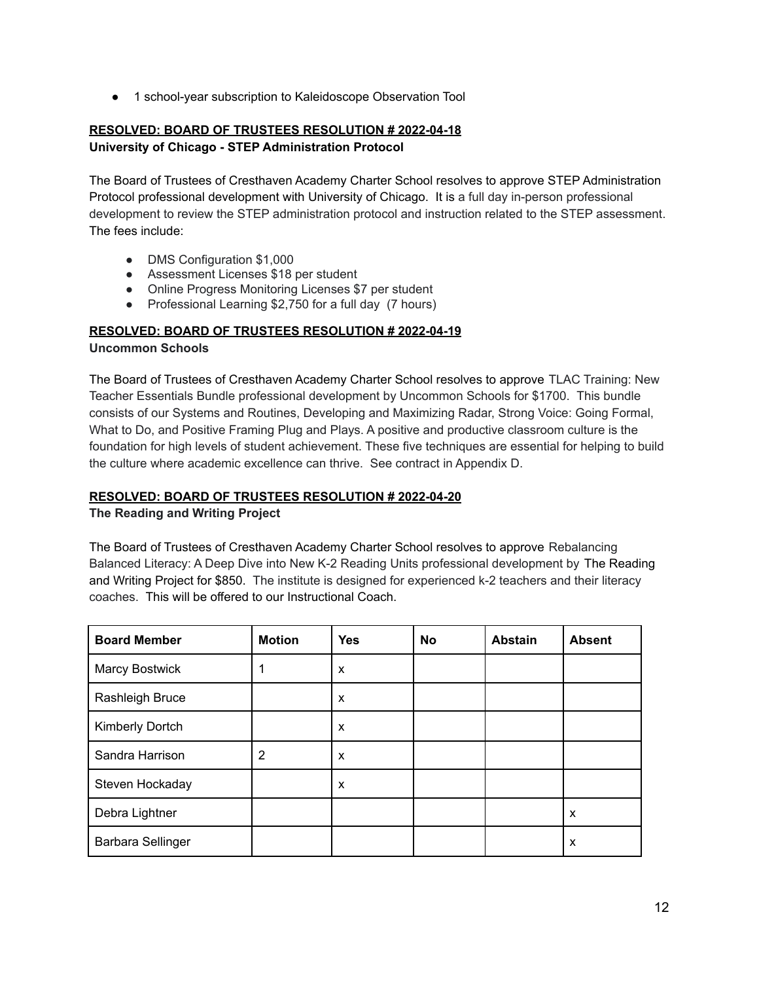● 1 school-year subscription to Kaleidoscope Observation Tool

# **RESOLVED: BOARD OF TRUSTEES RESOLUTION # 2022-04-18 University of Chicago - STEP Administration Protocol**

The Board of Trustees of Cresthaven Academy Charter School resolves to approve STEP Administration Protocol professional development with University of Chicago. It is a full day in-person professional development to review the STEP administration protocol and instruction related to the STEP assessment. The fees include:

- DMS Configuration \$1,000
- Assessment Licenses \$18 per student
- Online Progress Monitoring Licenses \$7 per student
- Professional Learning \$2,750 for a full day (7 hours)

#### **RESOLVED: BOARD OF TRUSTEES RESOLUTION # 2022-04-19 Uncommon Schools**

The Board of Trustees of Cresthaven Academy Charter School resolves to approve TLAC Training: New Teacher Essentials Bundle professional development by Uncommon Schools for \$1700. This bundle consists of our Systems and Routines, Developing and Maximizing Radar, Strong Voice: Going Formal, What to Do, and Positive Framing Plug and Plays. A positive and productive classroom culture is the foundation for high levels of student achievement. These five techniques are essential for helping to build the culture where academic excellence can thrive. See contract in Appendix D.

# **RESOLVED: BOARD OF TRUSTEES RESOLUTION # 2022-04-20**

#### **The Reading and Writing Project**

The Board of Trustees of Cresthaven Academy Charter School resolves to approve Rebalancing Balanced Literacy: A Deep Dive into New K-2 Reading Units professional development by The Reading and Writing Project for \$850. The institute is designed for experienced k-2 teachers and their literacy coaches. This will be offered to our Instructional Coach.

| <b>Board Member</b> | <b>Motion</b> | <b>Yes</b> | <b>No</b> | <b>Abstain</b> | <b>Absent</b> |
|---------------------|---------------|------------|-----------|----------------|---------------|
| Marcy Bostwick      |               | X          |           |                |               |
| Rashleigh Bruce     |               | X          |           |                |               |
| Kimberly Dortch     |               | X          |           |                |               |
| Sandra Harrison     | 2             | X          |           |                |               |
| Steven Hockaday     |               | X          |           |                |               |
| Debra Lightner      |               |            |           |                | X             |
| Barbara Sellinger   |               |            |           |                | X             |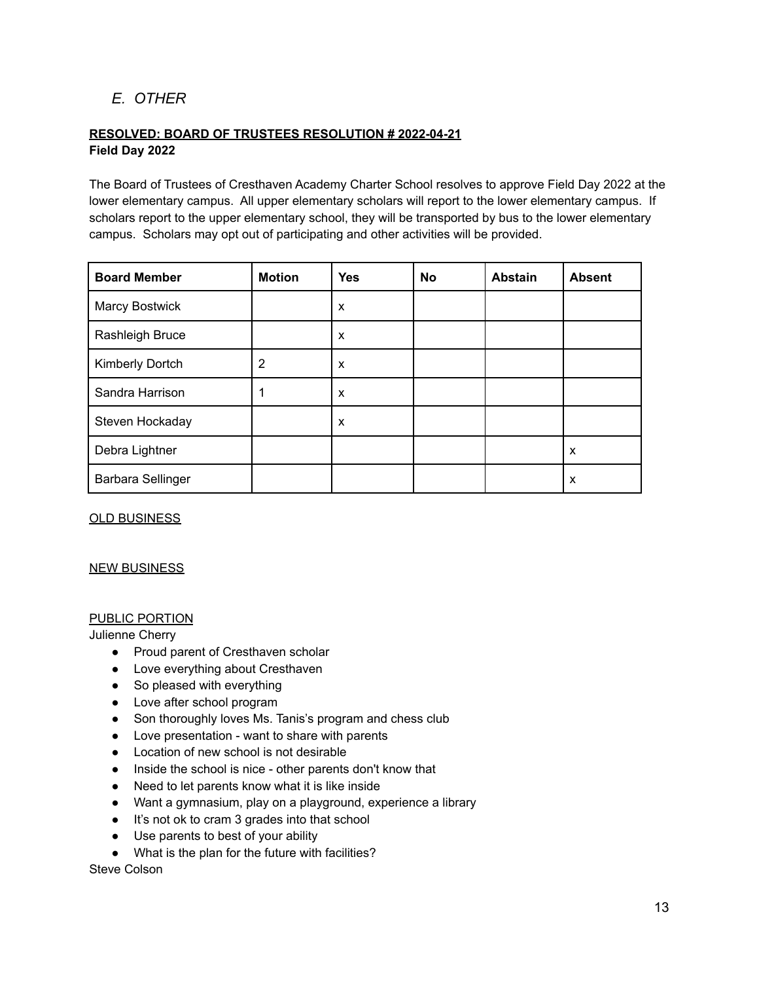# *E. OTHER*

## **RESOLVED: BOARD OF TRUSTEES RESOLUTION # 2022-04-21 Field Day 2022**

The Board of Trustees of Cresthaven Academy Charter School resolves to approve Field Day 2022 at the lower elementary campus. All upper elementary scholars will report to the lower elementary campus. If scholars report to the upper elementary school, they will be transported by bus to the lower elementary campus. Scholars may opt out of participating and other activities will be provided.

| <b>Board Member</b>   | <b>Motion</b> | <b>Yes</b> | <b>No</b> | <b>Abstain</b> | <b>Absent</b> |
|-----------------------|---------------|------------|-----------|----------------|---------------|
| <b>Marcy Bostwick</b> |               | X          |           |                |               |
| Rashleigh Bruce       |               | X          |           |                |               |
| Kimberly Dortch       | 2             | X          |           |                |               |
| Sandra Harrison       |               | X          |           |                |               |
| Steven Hockaday       |               | X          |           |                |               |
| Debra Lightner        |               |            |           |                | X             |
| Barbara Sellinger     |               |            |           |                | X             |

#### OLD BUSINESS

#### NEW BUSINESS

#### PUBLIC PORTION

Julienne Cherry

- Proud parent of Cresthaven scholar
- Love everything about Cresthaven
- So pleased with everything
- Love after school program
- Son thoroughly loves Ms. Tanis's program and chess club
- Love presentation want to share with parents
- Location of new school is not desirable
- Inside the school is nice other parents don't know that
- Need to let parents know what it is like inside
- Want a gymnasium, play on a playground, experience a library
- It's not ok to cram 3 grades into that school
- Use parents to best of your ability
- What is the plan for the future with facilities?

Steve Colson